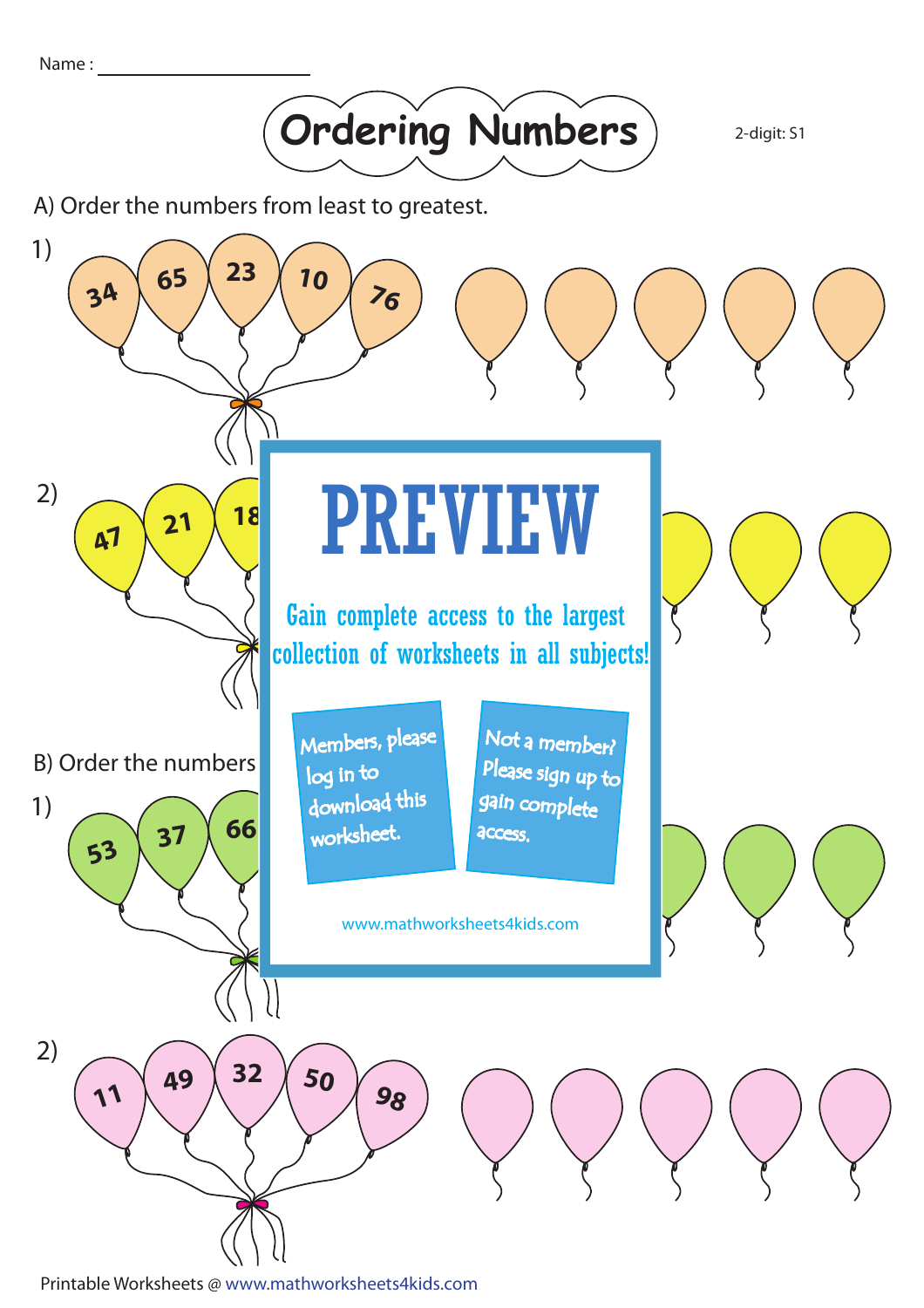Name :



2-digit: S1

A) Order the numbers from least to greatest.



Printable Worksheets @ www.mathworksheets4kids.com